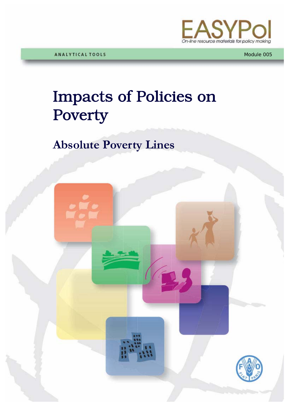

Module 005

# Impacts of Policies on Poverty

# **Absolute Poverty Lines**

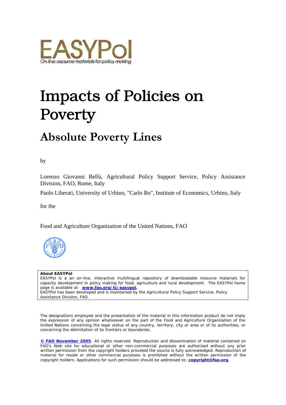

# Impacts of Policies on Poverty

# **Absolute Poverty Lines**

by

Lorenzo Giovanni Bellù, Agricultural Policy Support Service, Policy Assistance Division, FAO, Rome, Italy

Paolo Liberati, University of Urbino, "Carlo Bo", Institute of Economics, Urbino, Italy

for the

Food and Agriculture Organization of the United Nations, FAO



#### **About EASYPol**

EASYPol is a an on-line, interactive multilingual repository of downloadable resource materials for capacity development in policy making for food, agriculture and rural development. The EASYPol home page is available at: *[www.fao.org/tc/easypol](http://www.fao.org/tc/easypol).* EASYPol has been developed and is maintained by the Agricultural Policy Support Service, Policy Assistance Division, FAO.

The designations employed and the presentation of the material in this information product do not imply the expression of any opinion whatsoever on the part of the Food and Agriculture Organization of the United Nations concerning the legal status of any country, territory, city or area or of its authorities, or concerning the delimitation of its frontiers or boundaries.

**[© FAO November 2005](http://www.fao.org/copyright_EN.htm)**: All rights reserved. Reproduction and dissemination of material contained on FAO's Web site for educational or other non-commercial purposes are authorized without any prior written permission from the copyright holders provided the source is fully acknowledged. Reproduction of material for resale or other commercial purposes is prohibited without the written permission of the copyright holders. Applications for such permission should be addressed to: **[copyright@fao.org](mailto:copyright@fao.org)**.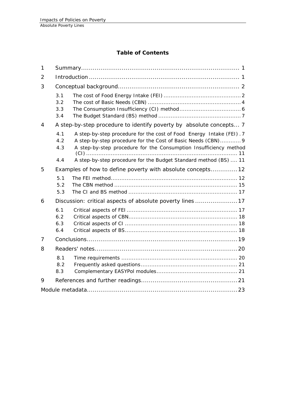#### **Table of Contents**

| $\mathbf{1}$   |                          |                                                                                                                                                                                                                                                                               |  |  |  |
|----------------|--------------------------|-------------------------------------------------------------------------------------------------------------------------------------------------------------------------------------------------------------------------------------------------------------------------------|--|--|--|
| 2              |                          |                                                                                                                                                                                                                                                                               |  |  |  |
| 3              |                          |                                                                                                                                                                                                                                                                               |  |  |  |
|                | 3.1<br>3.2<br>3.3<br>3.4 |                                                                                                                                                                                                                                                                               |  |  |  |
| $\overline{4}$ |                          | A step-by-step procedure to identify poverty by absolute concepts 7                                                                                                                                                                                                           |  |  |  |
|                | 4.1<br>4.2<br>4.3<br>4.4 | A step-by-step procedure for the cost of Food Energy Intake (FEI). 7<br>A step-by-step procedure for the Cost of Basic Needs (CBN) 9<br>A step-by-step procedure for the Consumption Insufficiency method<br>A step-by-step procedure for the Budget Standard method (BS)  11 |  |  |  |
| 5              |                          | Examples of how to define poverty with absolute concepts12                                                                                                                                                                                                                    |  |  |  |
|                | 5.1<br>5.2<br>5.3        |                                                                                                                                                                                                                                                                               |  |  |  |
| 6              |                          | Discussion: critical aspects of absolute poverty lines 17                                                                                                                                                                                                                     |  |  |  |
|                | 6.1<br>6.2<br>6.3<br>6.4 |                                                                                                                                                                                                                                                                               |  |  |  |
| 7              |                          |                                                                                                                                                                                                                                                                               |  |  |  |
| 8              |                          |                                                                                                                                                                                                                                                                               |  |  |  |
|                | 8.1<br>8.2<br>8.3        |                                                                                                                                                                                                                                                                               |  |  |  |
| 9              |                          |                                                                                                                                                                                                                                                                               |  |  |  |
|                |                          |                                                                                                                                                                                                                                                                               |  |  |  |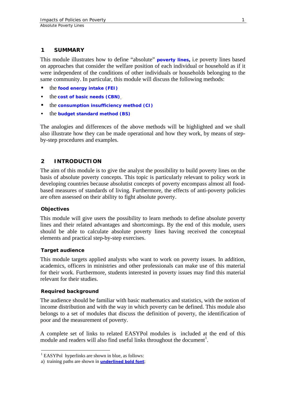#### <span id="page-4-0"></span>**1 SUMMARY**

This module illustrates how to define "absolute" **[poverty lines](http://www.fao.org/tc/easypol/output/glossary_term.asp?id=15041),** i.e poverty lines based on approaches that consider the welfare position of each individual or household as if it were independent of the conditions of other individuals or households belonging to the same community. In particular, this module will discuss the following methods:

- the **[food energy intake \(FEI\)](http://www.fao.org/tc/easypol/output/glossary_term.asp?id=15042)**
- **the [cost of basic needs \(CBN\)](http://www.fao.org/tc/easypol/output/glossary_term.asp?id=15043)**
- the **[consumption insufficiency method \(CI\)](http://www.fao.org/tc/easypol/output/glossary_term.asp?id=15044)**
- the **[budget standard method \(BS\)](http://www.fao.org/tc/easypol/output/glossary_term.asp?id=15045)**

The analogies and differences of the above methods will be highlighted and we shall also illustrate how they can be made operational and how they work, by means of stepby-step procedures and examples.

#### **2 INTRODUCTION**

The aim of this module is to give the analyst the possibility to build poverty lines on the basis of absolute poverty concepts. This topic is particularly relevant to policy work in developing countries because absolutist concepts of poverty encompass almost all foodbased measures of standards of living. Furthermore, the effects of anti-poverty policies are often assessed on their ability to fight absolute poverty.

#### **Objectives**

This module will give users the possibility to learn methods to define absolute poverty lines and their related advantages and shortcomings. By the end of this module, users should be able to calculate absolute poverty lines having received the conceptual elements and practical step-by-step exercises.

#### **Target audience**

This module targets applied analysts who want to work on poverty issues. In addition, academics, officers in ministries and other professionals can make use of this material for their work. Furthermore, students interested in poverty issues may find this material relevant for their studies.

#### **Required background**

 $\overline{a}$ 

The audience should be familiar with basic mathematics and statistics, with the notion of income distribution and with the way in which poverty can be defined. This module also belongs to a set of modules that discuss the definition of poverty, the identification of poor and the measurement of poverty.

A complete set of links to related EASYPol modules is included at the end of this module and readers will also find useful links throughout the document<sup>[1](#page-4-1)</sup>.

<span id="page-4-1"></span><sup>&</sup>lt;sup>1</sup> EASYPol hyperlinks are shown in blue, as follows:

a) training paths are shown in **underlined bold font**;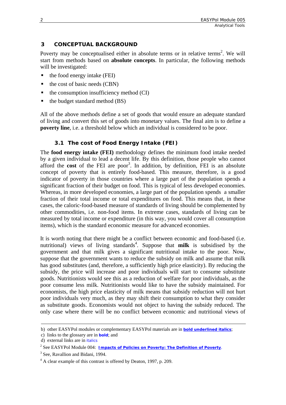#### <span id="page-5-0"></span>**3 CONCEPTUAL BACKGROUND**

Poverty may be conceptualised either in absolute terms or in relative terms<sup>[2](#page-5-1)</sup>. We will start from methods based on **absolute concepts**. In particular, the following methods will be investigated:

- $\blacksquare$  the food energy intake (FEI)
- the cost of basic needs (CBN)
- the consumption insufficiency method (CI)
- $\blacksquare$  the budget standard method (BS)

All of the above methods define a set of goods that would ensure an adequate standard of living and convert this set of goods into monetary values. The final aim is to define a **poverty line**, i.e. a threshold below which an individual is considered to be poor.

#### **3.1 The cost of Food Energy Intake (FEI)**

The **food energy intake (FEI)** methodology defines the minimum food intake needed by a given individual to lead a decent life. By this definition, those people who cannot afford the **cost** of the FEI are poor<sup>3</sup>. In addition, by definition, FEI is an absolute concept of poverty that is entirely food-based. This measure, therefore, is a good indicator of poverty in those countries where a large part of the population spends a significant fraction of their budget on food. This is typical of less developed economies. Whereas, in more developed economies, a large part of the population spends a smaller fraction of their total income or total expenditures on food. This means that, in these cases, the caloric-food-based measure of standards of living should be complemented by other commodities, i.e. non-food items. In extreme cases, standards of living can be measured by total income or expenditure (in this way, you would cover all consumption items), which is the standard economic measure for advanced economies.

It is worth noting that there might be a conflict between economic and food-based (i.e. nutritional) views of living standards<sup>4</sup>. Suppose that **milk** is subsidised by the government and that milk gives a significant nutritional intake to the poor. Now, suppose that the government wants to reduce the subsidy on milk and assume that milk has good substitutes (and, therefore, a sufficiently high price elasticity). By reducing the subsidy, the price will increase and poor individuals will start to consume substitute goods. Nutritionists would see this as a reduction of welfare for poor individuals, as the poor consume less milk. Nutritionists would like to have the subsidy maintained. For economists, the high price elasticity of milk means that subsidy reduction will not hurt poor individuals very much, as they may shift their consumption to what they consider as substitute goods. Economists would not object to having the subsidy reduced. The only case where there will be no conflict between economic and nutritional views of

b) other EASYPol modules or complementary EASYPol materials are in *bold underlined italics*;

c) links to the glossary are in **bold**; and

d) external links are in *italics*

<span id="page-5-1"></span><sup>2</sup> See EASYPol Module 004: *[Impacts of Policies on Poverty: The](http://www.fao.org/docs/up/easypol/312/povanlys_defpov_004EN.pdf) Definition of Poverty*.

<span id="page-5-2"></span> $3$  See, Ravallion and Bidani, 1994.

<span id="page-5-3"></span> $A<sup>4</sup>$  A clear example of this contrast is offered by Deaton, 1997, p. 209.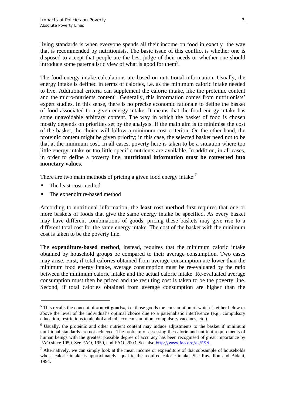living standards is when everyone spends all their income on food in exactly the way that is recommended by nutritionists. The basic issue of this conflict is whether one is disposed to accept that people are the best judge of their needs or whether one should introduce some paternalistic view of what is good for them<sup>5</sup>.

The food energy intake calculations are based on nutritional information. Usually, the energy intake is defined in terms of calories, i.e. as the minimum caloric intake needed to live. Additional criteria can supplement the caloric intake, like the proteinic content and the micro-nutrients content<sup>6</sup>. Generally, this information comes from nutritionists' expert studies. In this sense, there is no precise economic rationale to define the basket of food associated to a given energy intake. It means that the food energy intake has some unavoidable arbitrary content. The way in which the basket of food is chosen mostly depends on priorities set by the analysts. If the main aim is to minimise the cost of the basket, the choice will follow a minimum cost criterion. On the other hand, the proteinic content might be given priority; in this case, the selected basket need not to be that at the minimum cost. In all cases, poverty here is taken to be a situation where too little energy intake or too little specific nutrients are available. In addition, in all cases, in order to define a poverty line, **nutritional information must be converted into monetary values**.

There are two main methods of pricing a given food energy intake: $<sup>7</sup>$ </sup>

The least-cost method

 $\overline{a}$ 

The expenditure-based method

According to nutritional information, the **least-cost method** first requires that one or more baskets of foods that give the same energy intake be specified. As every basket may have different combinations of goods, pricing these baskets may give rise to a different total cost for the same energy intake. The cost of the basket with the minimum cost is taken to be the poverty line.

The **expenditure-based method**, instead, requires that the minimum caloric intake obtained by household groups be compared to their average consumption. Two cases may arise. First, if total calories obtained from average consumption are lower than the minimum food energy intake, average consumption must be re-evaluated by the ratio between the minimum caloric intake and the actual caloric intake. Re-evaluated average consumption must then be priced and the resulting cost is taken to be the poverty line. Second, if total calories obtained from average consumption are higher than the

<span id="page-6-0"></span><sup>&</sup>lt;sup>5</sup> This recalls the concept of «**merit goods**», i.e. those goods the consumption of which is either below or above the level of the individual's optimal choice due to a paternalistic interference (e.g., compulsory education, restrictions to alcohol and tobacco consumption, compulsory vaccines, etc.).

<span id="page-6-1"></span><sup>&</sup>lt;sup>6</sup> Usually, the proteinic and other nutrient content may induce adjustments to the basket if minimum nutritional standards are not achieved. The problem of assessing the calorie and nutrient requirements of human beings with the greatest possible degree of accuracy has been recognised of great importance by FAO since 1950. See FAO, 1950, and FAO, 2003. See also *<http://www.fao.org/es/ESN>*.

<span id="page-6-2"></span> $<sup>7</sup>$  Alternatively, we can simply look at the mean income or expenditure of that subsample of households</sup> whose caloric intake is approximately equal to the required caloric intake. See Ravallion and Bidani, 1994.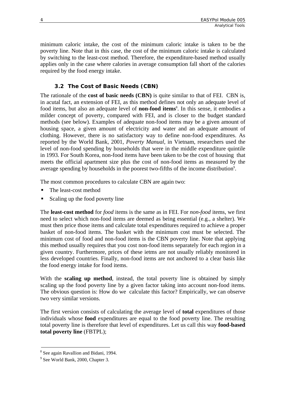<span id="page-7-0"></span>minimum caloric intake, the cost of the minimum caloric intake is taken to be the poverty line. Note that in this case, the cost of the minimum caloric intake is calculated by switching to the least-cost method. Therefore, the expenditure-based method usually applies only in the case where calories in average consumption fall short of the calories required by the food energy intake.

# **3.2 The Cost of Basic Needs (CBN)**

The rationale of the **cost of basic needs (CBN)** is quite similar to that of FEI. CBN is, in acutal fact, an extension of FEI, as this method defines not only an adequate level of food items, but also an adequate level of **non-food items**<sup>[8](#page-7-1)</sup>. In this sense, it embodies a milder concept of poverty, compared with FEI, and is closer to the budget standard methods (see below). Examples of adequate non-food items may be a given amount of housing space, a given amount of electricity and water and an adequate amount of clothing. However, there is no satisfactory way to define non-food expenditures. As reported by the World Bank, 2001, *Poverty Manual*, in Vietnam, researchers used the level of non-food spending by households that were in the middle expenditure quintile in 1993. For South Korea, non-food items have been taken to be the cost of housing that meets the official apartment size plus the cost of non-food items as measured by the average spending by households in the poorest two-fifths of the income distribution<sup>9</sup>.

The most common procedures to calculate CBN are again two:

- The least-cost method
- Scaling up the food poverty line

The **least-cost method** for *food* items is the same as in FEI. For *non-food* items, we first need to select which non-food items are deemed as being essential (e.g., a shelter). We must then price those items and calculate total expenditures required to achieve a proper basket of non-food items. The basket with the minimum cost must be selected. The minimum cost of food and non-food items is the CBN poverty line. Note that applying this method usually requires that you cost non-food items separately for each region in a given country. Furthermore, prices of these ietms are not usually reliably monitored in less developed countries. Finally, non-food items are not anchored to a clear basis like the food energy intake for food items.

With the **scaling up method**, instead, the total poverty line is obtained by simply scaling up the food poverty line by a given factor taking into account non-food items. The obvious question is: How do we calculate this factor? Empirically, we can observe two very similar versions.

The first version consists of calculating the average level of **total** expenditures of those individuals whose **food** expenditures are equal to the food poverty line. The resulting total poverty line is therefore that level of expenditures. Let us call this way **food-based total poverty line** (FBTPL);

<span id="page-7-1"></span><sup>&</sup>lt;sup>8</sup> See again Ravallion and Bidani, 1994.

<span id="page-7-2"></span> $9$  See World Bank, 2000, Chapter 3.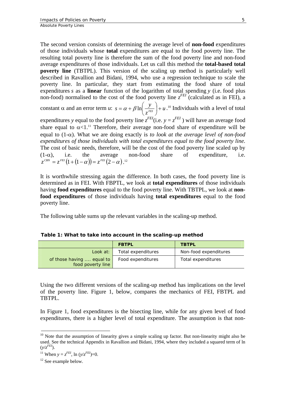The second version consists of determining the average level of **non-food** expenditures of those individuals whose **total** expenditures are equal to the food poverty line. The resulting total poverty line is therefore the sum of the food poverty line and non-food average expenditures of those individuals. Let us call this method the **total-based total poverty line** (TBTPL). This version of the scaling up method is particularly well described in Ravallion and Bidani, 1994, who use a regression technique to scale the poverty line. In particular, they start from estimating the food share of total expenditures *s* as a **linear** function of the logarithm of total spending *y* (i.e. food plus non-food) normalised to the cost of the food poverty line  $z^{FET}$  (calculated as in FEI), a constant  $\alpha$  and an error term *u*:  $s = \alpha + \beta \ln \left| \frac{y}{\alpha} \right| + u$  $s = \alpha + \beta \ln \left( \frac{y}{z^{FET}} \right) +$  $\left(\frac{y}{F_{FI}}\right)$ ⎝  $= \alpha + \beta \ln \left( \frac{y}{\epsilon_{\text{EVI}}}\right) + u$ .<sup>10</sup> Individuals with a level of total expenditures *y* equal to the food poverty line  $z^{FEI}$  (i.e.  $y = z^{FEI}$  ) will have an average food share equal to  $\alpha$ <1.<sup>11</sup> Therefore, their average non-food share of expenditure will be equal to (1-α). What we are doing exactly is *to look at the average level of non-food expenditures of those individuals with total expenditures equal to the food poverty line.* The cost of basic needs, therefore, will be the cost of the food poverty line scaled up by  $(1-\alpha)$ , i.e. the average non-food share of expenditure, i.e.  $z^{\text{\tiny\it CBN}}=z^{\text{\tiny\it FEI}}\big( 1+(1-\alpha) \big)$   $=z^{\text{\tiny\it FEI}}\big( 2-\alpha \big)$  .  $^{12}$  $^{12}$  $^{12}$ 

It is worthwhile stressing again the difference. In both cases, the food poverty line is determined as in FEI. With FBPTL, we look at **total expenditures** of those individuals having **food expenditures** equal to the food poverty line. With TBTPL, we look at **nonfood expenditures** of those individuals having **total expenditures** equal to the food poverty line.

The following table sums up the relevant variables in the scaling-up method.

|                                                | <b>FBTPL</b>       | <b>TBTPL</b>          |
|------------------------------------------------|--------------------|-----------------------|
| Look at:                                       | Total expenditures | Non-food expenditures |
| of those having  equal to<br>food poverty line | Food expenditures  | Total expenditures    |

**Table 1: What to take into account in the scaling-up method** 

Using the two different versions of the scaling-up method has implications on the level of the poverty line. Figure 1, below, compares the mechanics of FEI, FBTPL and TBTPL.

In Figure 1, food expenditures is the bisecting line, while for any given level of food expenditures, there is a higher level of total expenditure. The assumption is that non-

 $\overline{a}$ 

 $10$  Note that the assumption of linearity gives a simple scaling up factor. But non-linearity might also be used. See the technical Appendix in Ravallion and Bidani, 1994, where they included a squared term of ln  $(y/z<sup>FEI</sup>)$ .

<span id="page-8-0"></span><sup>&</sup>lt;sup>11</sup> When  $y = z^{FEI}$ , ln  $(y/z^{FEI})=0$ .

<span id="page-8-1"></span><sup>&</sup>lt;sup>12</sup> See example below.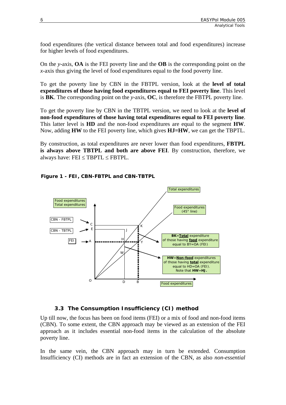<span id="page-9-0"></span>food expenditures (the vertical distance between total and food expenditures) increase for higher levels of food expenditures.

On the *y*-axis, **OA** is the FEI poverty line and the **OB** is the corresponding point on the *x*-axis thus giving the level of food expenditures equal to the food poverty line.

To get the poverty line by CBN in the FBTPL version, look at the **level of total expenditures of those having food expenditures equal to FEI poverty line**. This level is **BK**. The corresponding point on the *y*-axis, **OC**, is therefore the FBTPL poverty line.

To get the poverty line by CBN in the TBTPL version, we need to look at the **level of non-food expenditures of those having total expenditures equal to FEI poverty line**. This latter level is **HD** and the non-food expenditures are equal to the segment **HW**. Now, adding **HW** to the FEI poverty line, which gives **HJ=HW**, we can get the TBPTL.

By construction, as total expenditures are never lower than food expenditures, **FBTPL is always above TBTPL and both are above FEI**. By construction, therefore, we always have:  $FEI \leq TBPTL \leq FBTPL$ .



**Figure 1 - FEI, CBN-FBTPL and CBN-TBTPL** 

#### **3.3 The Consumption Insufficiency (CI) method**

Up till now, the focus has been on food items (FEI) or a mix of food and non-food items (CBN). To some extent, the CBN approach may be viewed as an extension of the FEI approach as it includes essential non-food items in the calculation of the absolute poverty line.

In the same vein, the CBN approach may in turn be extended. Consumption Insufficiency (CI) methods are in fact an extension of the CBN, as also *non-essential*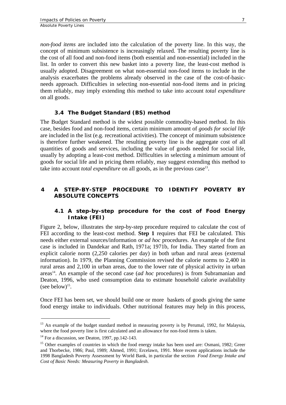<span id="page-10-0"></span>*non-food items* are included into the calculation of the poverty line. In this way, the concept of minimum subsistence is increasingly relaxed. The resulting poverty line is the cost of all food and non-food items (both essential and non-essential) included in the list. In order to convert this new basket into a poverty line, the least-cost method is usually adopted. Disagreement on what non-essential non-food items to include in the analysis exacerbates the problems already observed in the case of the cost-of-basicneeds approach. Difficulties in selecting non-essential non-food items and in pricing them reliably, may imply extending this method to take into account *total expenditure* on all goods.

#### **3.4 The Budget Standard (BS) method**

The Budget Standard method is the widest possible commodity-based method. In this case, besides food and non-food items, certain minimum amount of *goods for social life* are included in the list (e.g. recreational activities). The concept of minimum subsistence is therefore further weakened. The resulting poverty line is the aggregate cost of all quantities of goods and services, including the value of goods needed for social life, usually by adopting a least-cost method. Difficulties in selecting a minimum amount of goods for social life and in pricing them reliably, may suggest extending this method to take into account *total expenditure* on all goods, as in the previous case<sup>13</sup>.

#### **4 A STEP-BY-STEP PROCEDURE TO IDENTIFY POVERTY BY ABSOLUTE CONCEPTS**

#### **4.1 A step-by-step procedure for the cost of Food Energy Intake (FEI)**

Figure 2, below, illustrates the step-by-step procedure required to calculate the cost of FEI according to the least-cost method. **Step 1** requires that FEI be calculated. This needs either external sources/information or *ad hoc* procedures. An example of the first case is included in Dandekar and Rath, 1971a; 1971b, for India. They started from an explicit calorie norm (2,250 calories per day) in both urban and rural areas (external information). In 1979, the Planning Commission revised the calorie norms to 2,400 in rural areas and 2,100 in urban areas, due to the lower rate of physical activity in urban area[s14.](#page-10-2) An example of the second case (*ad hoc* procedures) is from Subramanian and Deaton, 1996, who used consumption data to estimate household calorie availability (see below) $15$ .

Once FEI has been set, we should build one or more baskets of goods giving the same food energy intake to individuals. Other nutritional features may help in this process,

 $\overline{a}$ 

<span id="page-10-1"></span><sup>&</sup>lt;sup>13</sup> An example of the budget standard method in measuring poverty is by Perumal, 1992, for Malaysia, where the food poverty line is first calculated and an allowance for non-food items is taken.

<span id="page-10-3"></span><span id="page-10-2"></span>

 $14$  For a discussion, see Deaton, 1997, pp.142-143.<br><sup>15</sup> Other examples of countries in which the food energy intake has been used are: Osmani, 1982; Greer and Thorbecke, 1986; Paul, 1989; Ahmed, 1991; Ercelawn, 1991. More recent applications include the 1998 Bangladesh Poverty Assessment by World Bank, in particular the section *Food Energy Intake and Cost of Basic Needs: Measuring Poverty in Bangladesh*.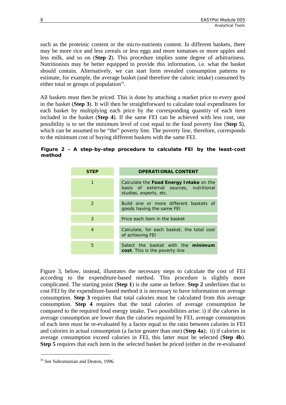such as the proteinic content or the micro-nutrients content. In different baskets, there may be more rice and less cereals or less eggs and more tomatoes or more apples and less milk, and so on (**Step 2**). This procedure implies some degree of arbitrariness. Nutritionists may be better equipped to provide this information, i.e. what the basket should contain. Alternatively, we can start form revealed consumption patterns to estimate, for example, the average basket (and therefore the caloric intake) consumed by either total or groups of population $16$ .

All baskets must then be priced. This is done by attaching a market price to every good in the basket (**Step 3**). It will then be straightforward to calculate total expenditures for each basket by multiplying each price by the corresponding quantity of each item included in the basket (**Step 4**). If the same FEI can be achieved with less cost, one possibility is to set the minimum level of cost equal to the food poverty line (**Step 5**), which can be assumed to be "the" poverty line. The poverty line, therefore, corresponds to the minimum cost of buying different baskets with the same FEI.

#### **Figure 2 - A step-by-step procedure to calculate FEI by the least-cost method**

| <b>STEP</b>   | <b>OPERATIONAL CONTENT</b>                                                                                  |  |  |  |
|---------------|-------------------------------------------------------------------------------------------------------------|--|--|--|
| 1             | Calculate the Food Energy Intake on the<br>basis of external sources, nutritional<br>studies, experts, etc. |  |  |  |
| $\mathcal{P}$ | Build one or more different baskets of<br>goods having the same FEI                                         |  |  |  |
| 3             | Price each item in the basket                                                                               |  |  |  |
| 4             | Calculate, for each basket, the total cost<br>of achieving FEI                                              |  |  |  |
| 5             | Select the basket with the minimum<br><b>cost</b> . This is the poverty line                                |  |  |  |

Figure 3, below, instead, illustrates the necessary steps to calculate the cost of FEI according to the expenditure-based method. This procedure is slightly more complicated. The starting point (**Step 1**) is the same as before. **Step 2** underlines that to cost FEI by the expenditure-based method it is necessary to have information on average consumption. **Step 3** requires that total calories must be calculated from this average consumption. **Step 4** requires that the total calories of average consumption be compared to the required food energy intake. Two possibilities arise: i) if the calories in average consumption are lower than the calories required by FEI, average consumption of each item must be re-evaluated by a factor equal to the ratio between calories in FEI and calories in actual consumption (a factor greater than one) (**Step 4a**); ii) if calories in average consumption exceed calories in FEI, this latter must be selected (**Step 4b**). **Step 5** requires that each item in the selected basket be priced (either in the re-evaluated

 $\overline{a}$ 

<span id="page-11-0"></span><sup>&</sup>lt;sup>16</sup> See Subramanian and Deaton, 1996.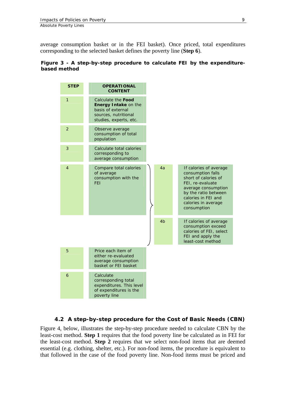<span id="page-12-0"></span>average consumption basket or in the FEI basket). Once priced, total expenditures corresponding to the selected basket defines the poverty line (**Step 6**).

#### **Figure 3 - A step-by-step procedure to calculate FEI by the expenditurebased method**



# **4.2 A step-by-step procedure for the Cost of Basic Needs (CBN)**

Figure 4, below, illustrates the step-by-step procedure needed to calculate CBN by the least-cost method. **Step 1** requires that the food poverty line be calculated as in FEI for the least-cost method. **Step 2** requires that we select non-food items that are deemed essential (e.g. clothing, shelter, etc.). For non-food items, the procedure is equivalent to that followed in the case of the food poverty line. Non-food items must be priced and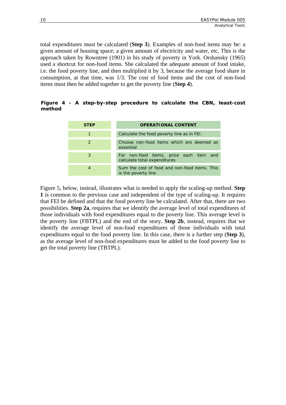total expenditures must be calculated (**Step 3**). Examples of non-food items may be: a given amount of housing space; a given amount of electricity and water, etc. This is the approach taken by Rowntree (1901) in his study of poverty in York. Orshansky (1965) used a shortcut for non-food items. She calculated the adequate amount of food intake, i.e. the food poverty line, and then multiplied it by 3, because the average food share in consumption, at that time, was 1/3. The cost of food items and the cost of non-food items must then be added together to get the poverty line (**Step 4**).

#### **Figure 4 - A step-by-step procedure to calculate the CBN, least-cost method**

| <b>STEP</b> | <b>OPERATIONAL CONTENT</b>                                              |  |  |  |
|-------------|-------------------------------------------------------------------------|--|--|--|
| 1           | Calculate the food poverty line as in FEI.                              |  |  |  |
| 2           | Choose non-food items which are deemed as<br>essential                  |  |  |  |
| 3           | For non-food items, price each item and<br>calculate total expenditures |  |  |  |
| 4           | Sum the cost of food and non-food items. This<br>is the poverty line    |  |  |  |

Figure 5, below, instead, illustrates what is needed to apply the scaling-up method. **Step 1** is common to the previous case and independent of the type of scaling-up. It requires that FEI be defined and that the food poverty line be calculated. After that, there are two possibilities. **Step 2a**, requires that we identify the average level of total expenditures of those individuals with food expenditures equal to the poverty line. This average level is the poverty line (FBTPL) and the end of the story. **Step 2b**, instead, requires that we identify the average level of non-food expenditures of those individuals with total expenditures equal to the food poverty line. In this case, there is a further step (**Step 3**), as the average level of non-food expenditures must be added to the food poverty line to get the total poverty line (TBTPL).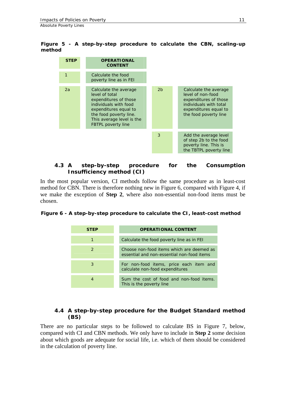<span id="page-14-0"></span>**Figure 5 - A step-by-step procedure to calculate the CBN, scaling-up method** 



#### **4.3 A step-by-step procedure for the Consumption Insufficiency method (CI)**

In the most popular version, CI methods follow the same procedure as in least-cost method for CBN. There is therefore nothing new in Figure 6, compared with Figure 4, if we make the exception of **Step 2**, where also non-essential non-food items must be chosen.

**Figure 6 - A step-by-step procedure to calculate the CI, least-cost method** 

| <b>STEP</b>   | <b>OPERATIONAL CONTENT</b>                                                              |
|---------------|-----------------------------------------------------------------------------------------|
|               | Calculate the food poverty line as in FEI                                               |
| $\mathcal{P}$ | Choose non-food items which are deemed as<br>essential and non-essential non-food items |
| 3             | For non-food items, price each item and<br>calculate non-food expenditures              |
|               | Sum the cost of food and non-food items.<br>This is the poverty line                    |

#### **4.4 A step-by-step procedure for the Budget Standard method (BS)**

There are no particular steps to be followed to calculate BS in Figure 7, below, compared with CI and CBN methods. We only have to include in **Step 2** some decision about which goods are adequate for social life, i.e. which of them should be considered in the calculation of poverty line.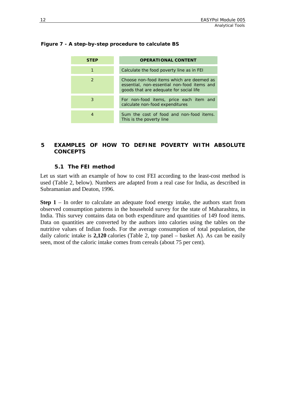| STEP          | <b>OPERATIONAL CONTENT</b>                                                                                                          |  |  |
|---------------|-------------------------------------------------------------------------------------------------------------------------------------|--|--|
|               | Calculate the food poverty line as in FEI                                                                                           |  |  |
| $\mathcal{P}$ | Choose non-food items which are deemed as<br>essential, non-essential non-food items and<br>goods that are adequate for social life |  |  |
| 3             | For non-food items, price each item and<br>calculate non-food expenditures                                                          |  |  |
|               | Sum the cost of food and non-food items.<br>This is the poverty line                                                                |  |  |

#### <span id="page-15-0"></span>**Figure 7 - A step-by-step procedure to calculate BS**

#### **5 EXAMPLES OF HOW TO DEFINE POVERTY WITH ABSOLUTE CONCEPTS**

#### **5.1 The FEI method**

Let us start with an example of how to cost FEI according to the least-cost method is used (Table 2, below). Numbers are adapted from a real case for India, as described in Subramanian and Deaton, 1996.

**Step 1** – In order to calculate an adequate food energy intake, the authors start from observed consumption patterns in the household survey for the state of Maharashtra, in India. This survey contains data on both expenditure and quantities of 149 food items. Data on quantities are converted by the authors into calories using the tables on the nutritive values of Indian foods. For the average consumption of total population, the daily caloric intake is **2,120** calories (Table 2, top panel – basket A). As can be easily seen, most of the caloric intake comes from cereals (about 75 per cent).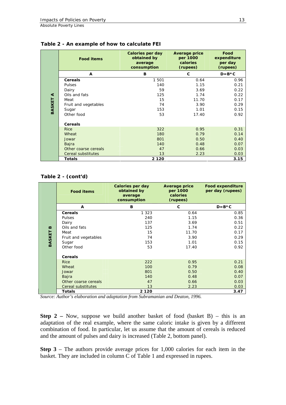|        | <b>Food items</b>    | Calories per day<br>obtained by<br>average<br>consumption | <b>Average price</b><br>per 1000<br>calories<br>(rupees) | Food<br>expenditure<br>per day<br>(rupees) |
|--------|----------------------|-----------------------------------------------------------|----------------------------------------------------------|--------------------------------------------|
|        | A                    | B                                                         | $\mathbf{C}$                                             | $D=B*C$                                    |
|        | <b>Cereals</b>       | 1 501                                                     | 0.64                                                     | 0.96                                       |
|        | Pulses               | 140                                                       | 1.15                                                     | 0.21                                       |
|        | Dairy                | 59                                                        | 3.69                                                     | 0.22                                       |
| ⋖      | Oils and fats        | 125                                                       | 1.74                                                     | 0.22                                       |
|        | Meat                 | 15                                                        | 11.70                                                    | 0.17                                       |
| BASKET | Fruit and vegetables | 74                                                        | 3.90                                                     | 0.29                                       |
|        | Sugar                | 153                                                       | 1.01                                                     | 0.15                                       |
|        | Other food           | 53                                                        | 17.40                                                    | 0.92                                       |
|        | Cereals              |                                                           |                                                          |                                            |
|        | <b>Rice</b>          | 322                                                       | 0.95                                                     | 0.31                                       |
|        | Wheat                | 180                                                       | 0.79                                                     | 0.14                                       |
|        | Jowar                | 801                                                       | 0.50                                                     | 0.40                                       |
|        | Bajra                | 140                                                       | 0.48                                                     | 0.07                                       |
|        | Other coarse cereals | 47                                                        | 0.66                                                     | 0.03                                       |
|        | Cereal substitutes   | 13                                                        | 2.23                                                     | 0.03                                       |
|        | <b>Totals</b>        | 2 1 2 0                                                   |                                                          | 3.15                                       |

**Table 2 - An example of how to calculate FEI** 

#### **Table 2 - (cont'd)**

|              | <b>Food items</b>    | Calories per day<br>obtained by<br>average<br>consumption | <b>Average price</b><br>per 1000<br>calories<br>(rupees) | <b>Food expenditure</b><br>per day (rupees) |
|--------------|----------------------|-----------------------------------------------------------|----------------------------------------------------------|---------------------------------------------|
|              | A                    | B                                                         | C                                                        | $D=B*C$                                     |
|              | <b>Cereals</b>       | 1 3 2 3                                                   | 0.64                                                     | 0.85                                        |
|              | <b>Pulses</b>        | 240                                                       | 1.15                                                     | 0.36                                        |
|              | Dairy                | 137                                                       | 3.69                                                     | 0.51                                        |
| $\mathbf{m}$ | Oils and fats        | 125                                                       | 1.74                                                     | 0.22                                        |
|              | Meat                 | 15                                                        | 11.70                                                    | 0.17                                        |
| BASKET       | Fruit and vegetables | 74                                                        | 3.90                                                     | 0.29                                        |
|              | Sugar                | 153                                                       | 1.01                                                     | 0.15                                        |
|              | Other food           | 53                                                        | 17.40                                                    | 0.92                                        |
|              | <b>Cereals</b>       |                                                           |                                                          |                                             |
|              | <b>Rice</b>          | 222                                                       | 0.95                                                     | 0.21                                        |
|              | Wheat                | 100                                                       | 0.79                                                     | 0.08                                        |
|              | Jowar                | 801                                                       | 0.50                                                     | 0.40                                        |
|              | Bajra                | 140                                                       | 0.48                                                     | 0.07                                        |
|              | Other coarse cereals | 47                                                        | 0.66                                                     | 0.03                                        |
|              | Cereal substitutes   | 13                                                        | 2.23                                                     | 0.03                                        |
|              | <b>Totals</b>        | 2 1 2 0                                                   |                                                          | 3.47                                        |

*Source: Author's elaboration and adaptation from Subramanian and Deaton, 1996.* 

**Step 2** – Now, suppose we build another basket of food (basket B) – this is an adaptation of the real example, where the same caloric intake is given by a different combination of food. In particular, let us assume that the amount of cereals is reduced and the amount of pulses and dairy is increased (Table 2, bottom panel).

**Step 3** – The authors provide average prices for 1,000 calories for each item in the basket. They are included in column C of Table 1 and expressed in rupees.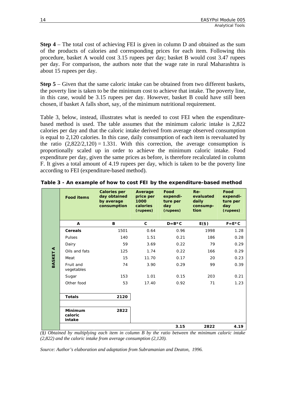**Step 4** – The total cost of achieving FEI is given in column D and obtained as the sum of the products of calories and corresponding prices for each item. Following this procedure, basket A would cost 3.15 rupees per day; basket B would cost 3.47 rupees per day. For comparison, the authors note that the wage rate in rural Maharashtra is about 15 rupees per day.

**Step 5** – Given that the same caloric intake can be obtained from two different baskets, the poverty line is taken to be the minimum cost to achieve that intake. The poverty line, in this case, would be 3.15 rupees per day. However, basket B could have still been chosen, if basket A falls short, say, of the minimum nutritional requirement.

Table 3, below, instead, illustrates what is needed to cost FEI when the expenditurebased method is used. The table assumes that the minimum caloric intake is 2,822 calories per day and that the caloric intake derived from average observed consumption is equal to 2,120 calories. In this case, daily consumption of each item is reevaluated by the ratio  $(2,822/2,120) = 1.331$ . With this correction, the average consumption is proportionally scaled up in order to achieve the minimum caloric intake. Food expenditure per day, given the same prices as before, is therefore recalculated in column F. It gives a total amount of 4.19 rupees per day, which is taken to be the poverty line according to FEI (expenditure-based method).

|                      | <b>Food items</b>                   | <b>Calories per</b><br>day obtained<br>by average<br>consumption | Average<br>price per<br>1000<br>calories<br>(rupees) | Food<br>expendi-<br>ture per<br>day<br>(rupees) | $Re-$<br>evaluated<br>daily<br>consump-<br>tion | Food<br>expendi-<br>ture per<br>day<br>(rupees) |
|----------------------|-------------------------------------|------------------------------------------------------------------|------------------------------------------------------|-------------------------------------------------|-------------------------------------------------|-------------------------------------------------|
|                      | A                                   | B                                                                | C                                                    | $D=B*C$                                         | E(S)                                            | $F = E * C$                                     |
|                      | <b>Cereals</b>                      | 1501                                                             | 0.64                                                 | 0.96                                            | 1998                                            | 1.28                                            |
|                      | Pulses                              | 140                                                              | 1.51                                                 | 0.21                                            | 186                                             | 0.28                                            |
|                      | Dairy                               | 59                                                               | 3.69                                                 | 0.22                                            | 79                                              | 0.29                                            |
| $\blacktriangleleft$ | Oils and fats                       | 125                                                              | 1.74                                                 | 0.22                                            | 166                                             | 0.29                                            |
| BASKET               | Meat                                | 15                                                               | 11.70                                                | 0.17                                            | 20                                              | 0.23                                            |
|                      | Fruit and<br>vegetables             | 74                                                               | 3.90                                                 | 0.29                                            | 99                                              | 0.39                                            |
|                      | Sugar                               | 153                                                              | 1.01                                                 | 0.15                                            | 203                                             | 0.21                                            |
|                      | Other food                          | 53                                                               | 17.40                                                | 0.92                                            | 71                                              | 1.23                                            |
|                      | <b>Totals</b>                       | 2120                                                             |                                                      |                                                 |                                                 |                                                 |
|                      | <b>Minimum</b><br>caloric<br>intake | 2822                                                             |                                                      |                                                 |                                                 |                                                 |
|                      |                                     |                                                                  |                                                      | 3.15                                            | 2822                                            | 4.19                                            |

*(§) Obtained by multiplying each item in column B by the ratio between the minimum caloric intake (2,822) and the caloric intake from average consumption (2,120).*

*Source: Author's elaboration and adaptation from Subramanian and Deaton, 1996.*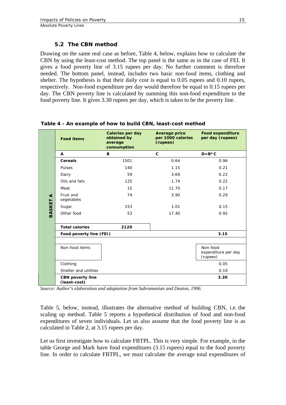#### **5.2 The CBN method**

<span id="page-18-0"></span>Drawing on the same real case as before, Table 4, below, explains how to calculate the CBN by using the least-cost method. The top panel is the same as in the case of FEI. It gives a food poverty line of 3.15 rupees per day. No further comment is therefore needed. The bottom panel, instead, includes two basic non-food items, clothing and shelter. The hypothesis is that their daily cost is equal to 0.05 rupees and 0.10 rupees, respectively. Non-food expenditure per day would therefore be equal to 0.15 rupees per day. The CBN poverty line is calculated by summing this non-food expenditure to the food poverty line. It gives 3.30 rupees per day, which is taken to be the poverty line.

|                      | <b>Food items</b>                       | <b>Calories per day</b><br>obtained by<br>average<br>consumption | <b>Average price</b><br>per 1000 calories<br>(rupees) | <b>Food expenditure</b><br>per day (rupees) |
|----------------------|-----------------------------------------|------------------------------------------------------------------|-------------------------------------------------------|---------------------------------------------|
|                      | A                                       | B                                                                | $\mathbf{C}$                                          | $D=B*C$                                     |
|                      | <b>Cereals</b>                          | 1501                                                             | 0.64                                                  | 0.96                                        |
|                      | Pulses                                  | 140                                                              | 1.15                                                  | 0.21                                        |
|                      | Dairy                                   | 59                                                               | 3.69                                                  | 0.22                                        |
|                      | Oils and fats                           | 125                                                              | 1.74                                                  | 0.22                                        |
|                      | Meat                                    | 15                                                               | 11.70                                                 | 0.17                                        |
| $\blacktriangleleft$ | Fruit and<br>vegetables                 | 74                                                               | 3.90                                                  | 0.29                                        |
|                      | Sugar                                   | 153                                                              | 1.01                                                  | 0.15                                        |
| BASKET               | Other food                              | 53                                                               | 17.40                                                 | 0.92                                        |
|                      | <b>Total calories</b>                   | 2120                                                             |                                                       |                                             |
|                      | Food poverty line (FEI)                 |                                                                  |                                                       | 3.15                                        |
|                      |                                         |                                                                  |                                                       |                                             |
|                      | Non-food items                          |                                                                  |                                                       | Non-food<br>expenditure per day<br>(rupees) |
|                      | Clothing                                |                                                                  |                                                       | 0.05                                        |
|                      | Shelter and utilities                   |                                                                  |                                                       | 0.10                                        |
|                      | <b>CBN</b> poverty line<br>(least-cost) |                                                                  |                                                       | 3.30                                        |

**Table 4 - An example of how to build CBN, least-cost method** 

*Source: Author's elaboration and adaptation from Subramanian and Deaton, 1996.* 

Table 5, below, instead, illustrates the alternative method of building CBN, i.e. the scaling up method. Table 5 reports a hypothetical distribution of food and non-food expenditures of seven individuals. Let us also assume that the food poverty line is as calculated in Table 2, at 3.15 rupees per day.

Let us first investigate how to calculate FBTPL. This is very simple. For example, in the table George and Mark have food expenditures (3.15 rupees) equal to the food poverty line. In order to calculate FBTPL, we must calculate the average total expenditures of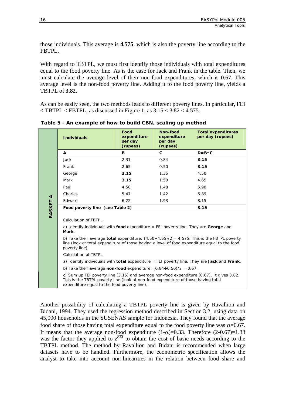those individuals. This average is **4.575**, which is also the poverty line according to the FBTPL.

With regard to TBTPL, we must first identify those individuals with total expenditures equal to the food poverty line. As is the case for Jack and Frank in the table. Then, we must calculate the average level of their non-food expenditures, which is 0.67. This average level is the non-food poverty line. Adding it to the food poverty line, yields a TBTPL of **3.82**.

As can be easily seen, the two methods leads to different poverty lines. In particular, FEI  $\langle$  TBTPL  $\langle$  FBTPL, as discussed in Figure 1, as 3.15  $\langle$  3.82  $\langle$  4.575.

|                 | <b>Individuals</b>                                                                                                                                                                                                                                                                                                                                 | Food<br>expenditure<br>per day<br>(rupees) | Non-food<br>expenditure<br>per day<br>(rupees) | <b>Total expenditures</b><br>per day (rupees) |  |
|-----------------|----------------------------------------------------------------------------------------------------------------------------------------------------------------------------------------------------------------------------------------------------------------------------------------------------------------------------------------------------|--------------------------------------------|------------------------------------------------|-----------------------------------------------|--|
|                 | A                                                                                                                                                                                                                                                                                                                                                  | B                                          | $\mathbf{C}$                                   | $D=B*C$                                       |  |
|                 | Jack                                                                                                                                                                                                                                                                                                                                               | 2.31                                       | 0.84                                           | 3.15                                          |  |
|                 | Frank                                                                                                                                                                                                                                                                                                                                              | 2.65                                       | 0.50                                           | 3.15                                          |  |
|                 | George                                                                                                                                                                                                                                                                                                                                             | 3.15                                       | 1.35                                           | 4.50                                          |  |
|                 | Mark                                                                                                                                                                                                                                                                                                                                               | 3.15                                       | 1.50                                           | 4.65                                          |  |
|                 | Paul                                                                                                                                                                                                                                                                                                                                               | 4.50                                       | 1.48                                           | 5.98                                          |  |
|                 | Charles                                                                                                                                                                                                                                                                                                                                            | 5.47                                       | 1.42                                           | 6.89                                          |  |
| <b>BASKET A</b> | Edward                                                                                                                                                                                                                                                                                                                                             | 6.22                                       | 1.93                                           | 8.15                                          |  |
|                 | Food poverty line (see Table 2)                                                                                                                                                                                                                                                                                                                    |                                            |                                                | 3.15                                          |  |
|                 | Calculation of FBTPL<br>a) Identify individuals with food expenditure $=$ FEI poverty line. They are George and<br>Mark.<br>b) Take their average <b>total</b> expenditure: $(4.50+4.65)/2 = 4.575$ . This is the FBTPL poverty<br>line (look at total expenditure of those having a level of food expenditure equal to the food<br>poverty line). |                                            |                                                |                                               |  |
|                 | Calculation of TBTPL                                                                                                                                                                                                                                                                                                                               |                                            |                                                |                                               |  |
|                 | a) Identify individuals with <b>total</b> expenditure = FEI poverty line. They are Jack and Frank.                                                                                                                                                                                                                                                 |                                            |                                                |                                               |  |
|                 | b) Take their average non-food expenditure: $(0.84+0.50)/2 = 0.67$ .                                                                                                                                                                                                                                                                               |                                            |                                                |                                               |  |
|                 | c) Sum up FEI poverty line $(3.15)$ and average non-food expenditure $(0.67)$ . It gives 3.82.<br>This is the TBTPL poverty line (look at non-food expenditure of those having total<br>expenditure equal to the food poverty line).                                                                                                               |                                            |                                                |                                               |  |

**Table 5 - An example of how to build CBN, scaling up method** 

Another possibility of calculating a TBTPL poverty line is given by Ravallion and Bidani, 1994. They used the regression method described in Section 3.2, using data on 45,000 households in the SUSENAS sample for Indonesia. They found that the average food share of those having total expenditure equal to the food poverty line was  $\alpha$ =0.67. It means that the average non-food expenditure  $(1-\alpha)=0.33$ . Therefore  $(2-0.67)=1.33$ was the factor they applied to  $z^{FEI}$  to obtain the cost of basic needs according to the TBTPL method. The method by Ravallion and Bidani is recommended when large datasets have to be handled. Furthermore, the econometric specification allows the analyst to take into account non-linearities in the relation between food share and

<u> Timografi</u>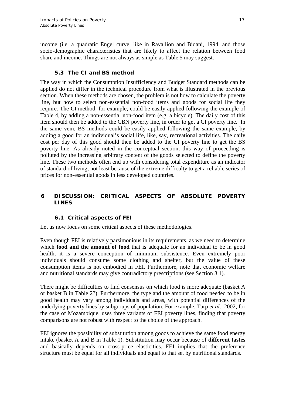<span id="page-20-0"></span>income (i.e. a quadratic Engel curve, like in Ravallion and Bidani, 1994, and those socio-demographic characteristics that are likely to affect the relation between food share and income. Things are not always as simple as Table 5 may suggest.

#### **5.3 The CI and BS method**

The way in which the Consumption Insufficiency and Budget Standard methods can be applied do not differ in the technical procedure from what is illustrated in the previous section. When these methods are chosen, the problem is not how to calculate the poverty line, but how to select non-essential non-food items and goods for social life they require. The CI method, for example, could be easily applied following the example of Table 4, by adding a non-essential non-food item (e.g. a bicycle). The daily cost of this item should then be added to the CBN poverty line, in order to get a CI poverty line. In the same vein, BS methods could be easily applied following the same example, by adding a good for an individual's social life, like, say, recreational activities. The daily cost per day of this good should then be added to the CI poverty line to get the BS poverty line. As already noted in the conceptual section, this way of proceeding is polluted by the increasing arbitrary content of the goods selected to define the poverty line. These two methods often end up with considering total expenditure as an indicator of standard of living, not least because of the extreme difficulty to get a reliable series of prices for non-essential goods in less developed countries.

#### **6 DISCUSSION: CRITICAL ASPECTS OF ABSOLUTE POVERTY LINES**

#### **6.1 Critical aspects of FEI**

Let us now focus on some critical aspects of these methodologies.

Even though FEI is relatively parsimonious in its requirements, as we need to determine which **food and the amount of food** that is adequate for an individual to be in good health, it is a severe conception of minimum subsistence. Even extremely poor individuals should consume some clothing and shelter, but the value of these consumption items is not embodied in FEI. Furthermore, note that economic welfare and nutritional standards may give contradictory prescriptions (see Section 3.1).

There might be difficulties to find consensus on which food is more adequate (basket A or basket B in Table 2?). Furthermore, the type and the amount of food needed to be in good health may vary among individuals and areas, with potential differences of the underlying poverty lines by subgroups of population. For example, Tarp *et al*., 2002, for the case of Mozambique, uses three variants of FEI poverty lines, finding that poverty comparisons are not robust with respect to the choice of the approach.

FEI ignores the possibility of substitution among goods to achieve the same food energy intake (basket A and B in Table 1). Substitution may occur because of **different tastes** and basically depends on cross-price elasticities. FEI implies that the preference structure must be equal for all individuals and equal to that set by nutritional standards.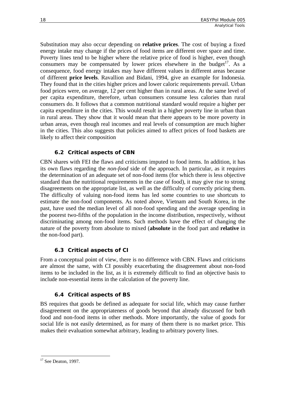<span id="page-21-0"></span>Substitution may also occur depending on **relative prices**. The cost of buying a fixed energy intake may change if the prices of food items are different over space and time. Poverty lines tend to be higher where the relative price of food is higher, even though consumers may be compensated by lower prices elsewhere in the budget<sup>17</sup>. As a consequence, food energy intakes may have different values in different areas because of different **price levels**. Ravallion and Bidani, 1994, give an example for Indonesia. They found that in the cities higher prices and lower caloric requirements prevail. Urban food prices were, on average, 12 per cent higher than in rural areas. At the same level of per capita expenditure, therefore, urban consumers consume less calories than rural consumers do. It follows that a common nutritional standard would require a higher per capita expenditure in the cities. This would result in a higher poverty line in urban than in rural areas. They show that it would mean that there appears to be more poverty in urban areas, even though real incomes and real levels of consumption are much higher in the cities. This also suggests that policies aimed to affect prices of food baskets are likely to affect their composition

# **6.2 Critical aspects of CBN**

CBN shares with FEI the flaws and criticisms imputed to food items. In addition, it has its own flaws regarding the *non-food* side of the approach. In particular, as it requires the determination of an adequate set of non-food items (for which there is less objective standard than the nutritional requirements in the case of food), it may give rise to strong disagreements on the appropriate list, as well as the difficulty of correctly pricing them. The difficulty of valuing non-food items has led some countries to use shortcuts to estimate the non-food components. As noted above, Vietnam and South Korea, in the past, have used the median level of all non-food spending and the average spending in the poorest two-fifths of the population in the income distribution, respectively, without discriminating among non-food items. Such methods have the effect of changing the nature of the poverty from absolute to mixed (**absolute** in the food part and **relative** in the non-food part).

# **6.3 Critical aspects of CI**

From a conceptual point of view, there is no difference with CBN. Flaws and criticisms are almost the same, with CI possibly exacerbating the disagreement about non-food items to be included in the list, as it is extremely difficult to find an objective basis to include non-essential items in the calculation of the poverty line.

# **6.4 Critical aspects of BS**

BS requires that goods be defined as adequate for social life, which may cause further disagreement on the appropriateness of goods beyond that already discussed for both food and non-food items in other methods. More importantly, the value of goods for social life is not easily determined, as for many of them there is no market price. This makes their evaluation somewhat arbitrary, leading to arbitrary poverty lines.

<span id="page-21-1"></span> $\overline{a}$  $17$  See Deaton, 1997.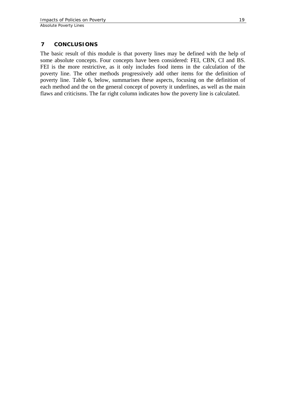#### <span id="page-22-0"></span>**7 CONCLUSIONS**

The basic result of this module is that poverty lines may be defined with the help of some absolute concepts. Four concepts have been considered: FEI, CBN, CI and BS. FEI is the more restrictive, as it only includes food items in the calculation of the poverty line. The other methods progressively add other items for the definition of poverty line. Table 6, below, summarises these aspects, focusing on the definition of each method and the on the general concept of poverty it underlines, as well as the main flaws and criticisms. The far right column indicates how the poverty line is calculated.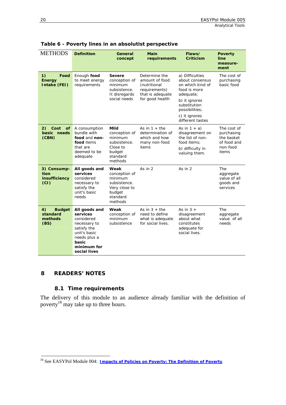| <b>METHODS</b>                                     | <b>Definition</b>                                                                                                                              | General<br>concept                                                                                 | Main<br>requirements                                                                                    | Flaws/<br><b>Criticism</b>                                                                                                                                                  | <b>Poverty</b><br>line<br>measure-<br>ment                                  |
|----------------------------------------------------|------------------------------------------------------------------------------------------------------------------------------------------------|----------------------------------------------------------------------------------------------------|---------------------------------------------------------------------------------------------------------|-----------------------------------------------------------------------------------------------------------------------------------------------------------------------------|-----------------------------------------------------------------------------|
| 1)<br>Food<br><b>Energy</b><br>Intake (FEI)        | Enough food<br>to meet energy<br>requirements                                                                                                  | <b>Severe</b><br>conception of<br>minimum<br>subsistence.<br>It disregards<br>social needs         | Determine the<br>amount of food<br>(nutritional<br>requirements)<br>that is adequate<br>for good health | a) Difficulties<br>about consensus<br>on which kind of<br>food is more<br>adequate;<br>b) it ignores<br>substitution<br>possibilities;<br>c) it ignores<br>different tastes | The cost of<br>purchasing<br>basic food                                     |
| Cost<br>2)<br>of<br>basic<br>needs<br>(CBN)        | A consumption<br>bundle with<br>food and non-<br>food items<br>that are<br>deemed to be<br>adequate                                            | Mild<br>conception of<br>minimum<br>subsistence.<br>Close to<br>budget<br>standard<br>methods      | As in $1 +$ the<br>determination of<br>which and how<br>many non-food<br>items                          | As in $1 + a$ )<br>disagreement on<br>the list of non-<br>food items:<br>b) difficulty in<br>valuing them.                                                                  | The cost of<br>purchasing<br>the basket<br>of food and<br>non-food<br>items |
| 3) Consump-<br>tion<br>insufficiency<br>(CI)       | All goods and<br>services<br>considered<br>necessary to<br>satisfy the<br>unit's basic<br>needs                                                | Weak<br>conception of<br>minimum<br>subsistence.<br>Very close to<br>budget<br>standard<br>methods | As in $2$                                                                                               | As in 2                                                                                                                                                                     | <b>The</b><br>aggregate<br>value of all<br>goods and<br>services            |
| 4)<br><b>Budget</b><br>standard<br>methods<br>(BS) | All goods and<br>services<br>considered<br>necessary to<br>satisfy the<br>unit's basic<br>needs plus a<br>basic<br>minimum for<br>social lives | Weak<br>conception of<br>minimum<br>subsistence                                                    | As in $3 +$ the<br>need to define<br>what is adequate<br>for social lives.                              | As in $3 +$<br>disagreement<br>about what<br>constitutes<br>adequate for<br>social lives.                                                                                   | The<br>aggregate<br>value of all<br>needs                                   |

<span id="page-23-0"></span>

|  |  |  | Table 6 - Poverty lines in an absolutist perspective |  |
|--|--|--|------------------------------------------------------|--|
|--|--|--|------------------------------------------------------|--|

#### **8 READERS' NOTES**

 $\overline{a}$ 

#### **8.1 Time requirements**

The delivery of this module to an audience already familiar with the definition of poverty<sup>18</sup> may take up to three hours.

<span id="page-23-1"></span><sup>18</sup> See EASYPol Module 004: *[Impacts of Policies on Poverty: The Definition of](http://www.fao.org/docs/up/easypol/312/povanlys_defpov_004EN.pdf) Poverty*.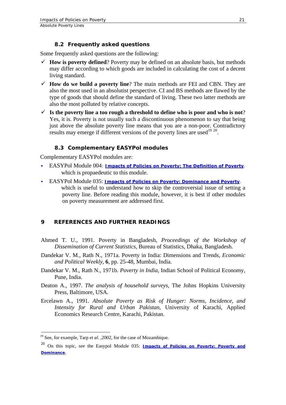#### **8.2 Frequently asked questions**

<span id="page-24-0"></span>Some frequently asked questions are the following:

- $\checkmark$  How is poverty defined? Poverty may be defined on an absolute basis, but methods may differ according to which goods are included in calculating the cost of a decent living standard.
- $\checkmark$  **How do we build a poverty line**? The main methods are FEI and CBN. They are also the most used in an absolutist perspective. CI and BS methods are flawed by the type of goods that should define the standard of living. These two latter methods are also the most polluted by relative concepts.
- $\checkmark$  Is the poverty line a too rough a threshold to define who is poor and who is not? Yes, it is. Poverty is not usually such a discontinuous phenomenon to say that being just above the absolute poverty line means that you are a non-poor. Contradictory results may emerge if different versions of the poverty lines are used<sup>[19](#page-24-1) 20</sup>.

# **8.3 Complementary EASYPol modules**

Complementary EASYPol modules are:

- EASYPol Module 004: *[Impacts of Policies on Poverty: The Definition of Poverty](http://www.fao.org/docs/up/easypol/312/povanlys_defpov_004EN.pdf).*  which is propaedeutic to this module.
- EASYPol Module 035: *[Impacts of Policies on Poverty: Dominance and Poverty](http://www.fao.org/docs/up/easypol/328/povety&dominance_035EN.pdf).*  which is useful to understand how to skip the controversial issue of setting a poverty line. Before reading this module, however, it is best if other modules on poverty measurement are addressed first.

# **9 REFERENCES AND FURTHER READINGS**

- Ahmed T. U., 1991. Poverty in Bangladesh, *Proceedings of the Workshop of Dissemination of Current Statistics*, Bureau of Statistics, Dhaka, Bangladesh.
- Dandekar V. M., Rath N., 1971a. Poverty in India: Dimensions and Trends, *Economic and Political Weekly*, **6**, pp. 25-48, Mumbai, India.
- Dandekar V. M., Rath N., 1971b. *Poverty in India*, Indian School of Political Economy, Pune, India.
- Deaton A., 1997. *The analysis of household surveys*, The Johns Hopkins University Press, Baltimore, USA.
- Ercelawn A., 1991. *Absolute Poverty as Risk of Hunger: Norms, Incidence, and Intensity for Rural and Urban Pakistan*, University of Karachi, Applied Economics Research Centre, Karachi, Pakistan.

 $\overline{a}$ 

<span id="page-24-1"></span><sup>19</sup> See, for example, Tarp *et al*. ,2002, for the case of Mozambique.

<span id="page-24-2"></span><sup>20</sup> On this topic, see the Easypol Module 035: *[Impacts of Policies on Poverty: Poverty and](http://www.fao.org/docs/up/easypol/328/povety&dominance_035EN.pdf) [Dominance](http://www.fao.org/docs/up/easypol/328/povety&dominance_035EN.pdf)*.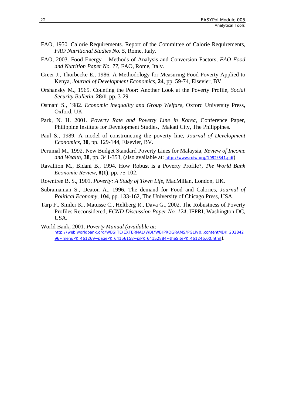- FAO, 1950. Calorie Requirements. Report of the Committee of Calorie Requirements, *FAO Nutritional Studies No. 5*, Rome, Italy.
- FAO, 2003. Food Energy Methods of Analysis and Conversion Factors, *FAO Food and Nutrition Paper No. 77*, FAO, Rome, Italy.
- Greer J., Thorbecke E., 1986. A Methodology for Measuring Food Poverty Applied to Kenya*, Journal of Development Economics*, **24**, pp. 59-74, Elsevier, BV.
- Orshansky M., 1965. Counting the Poor: Another Look at the Poverty Profile*, Social Security Bulletin*, **28/1**, pp. 3-29.
- Osmani S., 1982. *Economic Inequality and Group Welfare*, Oxford University Press, Oxford, UK.
- Park, N. H. 2001. *Poverty Rate and Poverty Line in Korea*, Conference Paper, Philippine Institute for Development Studies, Makati City, The Philippines.
- Paul S., 1989. A model of construncting the poverty line, *Journal of Development Economics*, **30**, pp. 129-144, Elsevier, BV.
- Perumal M., 1992. New Budget Standard Poverty Lines for Malaysia, *Review of Income and Wealth*, **38**, pp. 341-353, (also available at: *http://www.roiw.org/1992/341.pdf*)
- Ravallion M., Bidani B., 1994. How Robust is a Poverty Profile?, *The World Bank Economic Review*, **8(1)**, pp. 75-102.
- Rowntree B. S., 1901. *Poverty: A Study of Town Life*, MacMillan, London, UK.
- Subramanian S., Deaton A., 1996. The demand for Food and Calories, *Journal of Political Economy*, **104**, pp. 133-162, The University of Chicago Press, USA.
- Tarp F., Simler K., Matusse C., Heltberg R., Dava G., 2002. The Robustness of Poverty Profiles Reconsidered, *FCND Discussion Paper No. 124,* IFPRI, Washington DC, USA.
- World Bank, 2001. *Poverty Manual (available at: http://web.worldbank.org/WBSITE/EXTERNAL/WBI/WBIPROGRAMS/PGLP/0,,contentMDK:202842 96~menuPK:461269~pagePK:64156158~piPK:64152884~theSitePK:461246,00.html*).